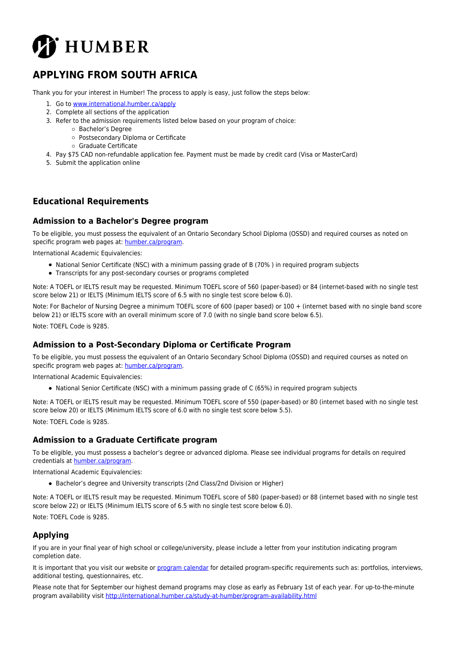

# **APPLYING FROM SOUTH AFRICA**

Thank you for your interest in Humber! The process to apply is easy, just follow the steps below:

- 1. Go to [www.international.humber.ca/apply](http://www.international.humber.ca/apply)
- 2. Complete all sections of the application
- 3. Refer to the admission requirements listed below based on your program of choice:
	- Bachelor's Degree
		- Postsecondary Diploma or Certificate
		- Graduate Certificate
- 4. Pay \$75 CAD non-refundable application fee. Payment must be made by credit card (Visa or MasterCard)
- 5. Submit the application online

## **Educational Requirements**

#### **Admission to a Bachelor's Degree program**

To be eligible, you must possess the equivalent of an Ontario Secondary School Diploma (OSSD) and required courses as noted on specific program web pages at: [humber.ca/program](http://humber.ca/program).

International Academic Equivalencies:

- National Senior Certificate (NSC) with a minimum passing grade of B (70% ) in required program subjects
- Transcripts for any post-secondary courses or programs completed

Note: A TOEFL or IELTS result may be requested. Minimum TOEFL score of 560 (paper-based) or 84 (internet-based with no single test score below 21) or IELTS (Minimum IELTS score of 6.5 with no single test score below 6.0).

Note: For Bachelor of Nursing Degree a minimum TOEFL score of 600 (paper based) or 100 + (internet based with no single band score below 21) or IELTS score with an overall minimum score of 7.0 (with no single band score below 6.5).

Note: TOEFL Code is 9285.

### **Admission to a Post-Secondary Diploma or Certificate Program**

To be eligible, you must possess the equivalent of an Ontario Secondary School Diploma (OSSD) and required courses as noted on specific program web pages at: [humber.ca/program](http://humber.ca/program).

International Academic Equivalencies:

National Senior Certificate (NSC) with a minimum passing grade of C (65%) in required program subjects

Note: A TOEFL or IELTS result may be requested. Minimum TOEFL score of 550 (paper-based) or 80 (internet based with no single test score below 20) or IELTS (Minimum IELTS score of 6.0 with no single test score below 5.5). Note: TOEFL Code is 9285.

### **Admission to a Graduate Certificate program**

To be eligible, you must possess a bachelor's degree or advanced diploma. Please see individual programs for details on required credentials at [humber.ca/program](http://humber.ca/program).

International Academic Equivalencies:

Bachelor's degree and University transcripts (2nd Class/2nd Division or Higher)

Note: A TOEFL or IELTS result may be requested. Minimum TOEFL score of 580 (paper-based) or 88 (internet based with no single test score below 22) or IELTS (Minimum IELTS score of 6.5 with no single test score below 6.0).

Note: TOEFL Code is 9285.

## **Applying**

If you are in your final year of high school or college/university, please include a letter from your institution indicating program completion date.

It is important that you visit our website or [program calendar](http://humber.ca/program.html) for detailed program-specific requirements such as: portfolios, interviews, additional testing, questionnaires, etc.

Please note that for September our highest demand programs may close as early as February 1st of each year. For up-to-the-minute program availability visit [http://international.humber.ca/study-at-humber/program-availability.html](https://humber.ca/study-at-humber/program-availability.html)